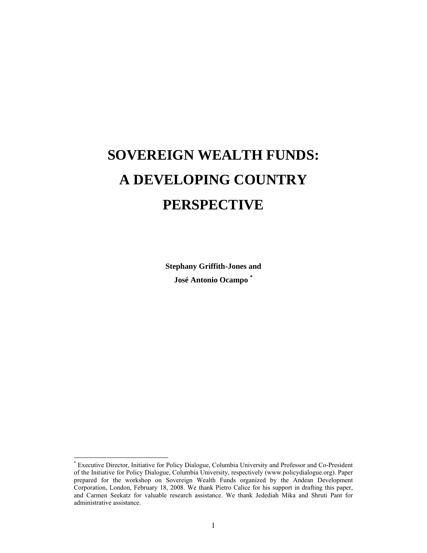# **SOVEREIGN WEALTH FUNDS: A DEVELOPING COUNTRY PERSPECTIVE**

**Stephany Griffith-Jones and José Antonio Ocampo \***

 $\overline{a}$ 

<sup>\*</sup> Executive Director, Initiative for Policy Dialogue, Columbia University and Professor and Co-President of the Initiative for Policy Dialogue, Columbia University, respectively (www.policydialogue.org). Paper prepared for the workshop on Sovereign Wealth Funds organized by the Andean Development Corporation, London, February 18, 2008. We thank Pietro Calice for his support in drafting this paper, and Carmen Seekatz for valuable research assistance. We thank Jedediah Mika and Shruti Pant for administrative assistance.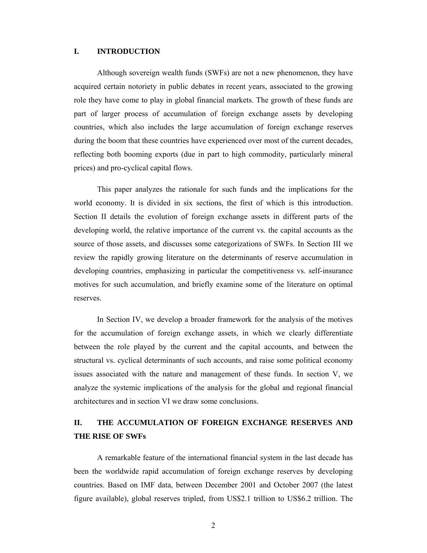## **I. INTRODUCTION**

 Although sovereign wealth funds (SWFs) are not a new phenomenon, they have acquired certain notoriety in public debates in recent years, associated to the growing role they have come to play in global financial markets. The growth of these funds are part of larger process of accumulation of foreign exchange assets by developing countries, which also includes the large accumulation of foreign exchange reserves during the boom that these countries have experienced over most of the current decades, reflecting both booming exports (due in part to high commodity, particularly mineral prices) and pro-cyclical capital flows.

 This paper analyzes the rationale for such funds and the implications for the world economy. It is divided in six sections, the first of which is this introduction. Section II details the evolution of foreign exchange assets in different parts of the developing world, the relative importance of the current vs. the capital accounts as the source of those assets, and discusses some categorizations of SWFs. In Section III we review the rapidly growing literature on the determinants of reserve accumulation in developing countries, emphasizing in particular the competitiveness vs. self-insurance motives for such accumulation, and briefly examine some of the literature on optimal reserves.

In Section IV, we develop a broader framework for the analysis of the motives for the accumulation of foreign exchange assets, in which we clearly differentiate between the role played by the current and the capital accounts, and between the structural vs. cyclical determinants of such accounts, and raise some political economy issues associated with the nature and management of these funds. In section V, we analyze the systemic implications of the analysis for the global and regional financial architectures and in section VI we draw some conclusions.

# **II. THE ACCUMULATION OF FOREIGN EXCHANGE RESERVES AND THE RISE OF SWFs**

A remarkable feature of the international financial system in the last decade has been the worldwide rapid accumulation of foreign exchange reserves by developing countries. Based on IMF data, between December 2001 and October 2007 (the latest figure available), global reserves tripled, from US\$2.1 trillion to US\$6.2 trillion. The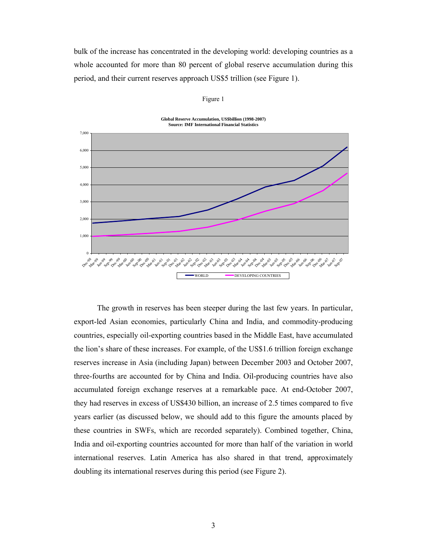bulk of the increase has concentrated in the developing world: developing countries as a whole accounted for more than 80 percent of global reserve accumulation during this period, and their current reserves approach US\$5 trillion (see Figure 1).

| <b>Source: IMF International Financial Statistics</b> |                                |  |  |
|-------------------------------------------------------|--------------------------------|--|--|
| 7,000                                                 |                                |  |  |
|                                                       |                                |  |  |
|                                                       |                                |  |  |
| 6,000                                                 |                                |  |  |
|                                                       |                                |  |  |
| 5,000                                                 |                                |  |  |
|                                                       |                                |  |  |
|                                                       |                                |  |  |
| 4,000                                                 |                                |  |  |
|                                                       |                                |  |  |
| 3,000                                                 |                                |  |  |
|                                                       |                                |  |  |
|                                                       |                                |  |  |
| 2,000                                                 |                                |  |  |
|                                                       |                                |  |  |
| 1,000                                                 |                                |  |  |
|                                                       |                                |  |  |
|                                                       |                                |  |  |
| $\bf{0}$                                              |                                |  |  |
|                                                       |                                |  |  |
|                                                       | -WORLD<br>DEVELOPING COUNTRIES |  |  |
|                                                       |                                |  |  |

Figure 1

**Global Reserve Accumulation, US\$billion (1998-2007)**

The growth in reserves has been steeper during the last few years. In particular, export-led Asian economies, particularly China and India, and commodity-producing countries, especially oil-exporting countries based in the Middle East, have accumulated the lion's share of these increases. For example, of the US\$1.6 trillion foreign exchange reserves increase in Asia (including Japan) between December 2003 and October 2007, three-fourths are accounted for by China and India. Oil-producing countries have also accumulated foreign exchange reserves at a remarkable pace. At end-October 2007, they had reserves in excess of US\$430 billion, an increase of 2.5 times compared to five years earlier (as discussed below, we should add to this figure the amounts placed by these countries in SWFs, which are recorded separately). Combined together, China, India and oil-exporting countries accounted for more than half of the variation in world international reserves. Latin America has also shared in that trend, approximately doubling its international reserves during this period (see Figure 2).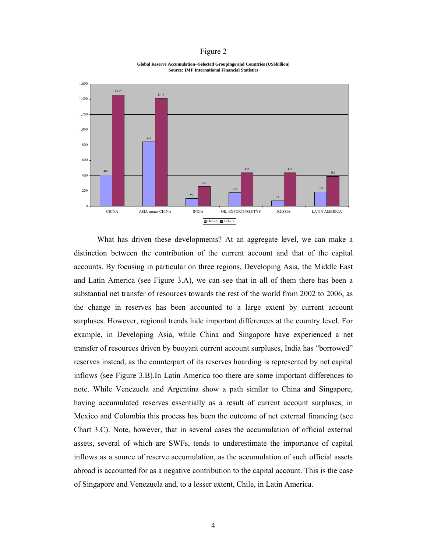#### Figure 2

**Global Reserve Accumulation--Selected Groupings and Countries (US\$billion) Source: IMF International Financial Statistics**



What has driven these developments? At an aggregate level, we can make a distinction between the contribution of the current account and that of the capital accounts. By focusing in particular on three regions, Developing Asia, the Middle East and Latin America (see Figure 3.A), we can see that in all of them there has been a substantial net transfer of resources towards the rest of the world from 2002 to 2006, as the change in reserves has been accounted to a large extent by current account surpluses. However, regional trends hide important differences at the country level. For example, in Developing Asia, while China and Singapore have experienced a net transfer of resources driven by buoyant current account surpluses, India has "borrowed" reserves instead, as the counterpart of its reserves hoarding is represented by net capital inflows (see Figure 3.B).In Latin America too there are some important differences to note. While Venezuela and Argentina show a path similar to China and Singapore, having accumulated reserves essentially as a result of current account surpluses, in Mexico and Colombia this process has been the outcome of net external financing (see Chart 3.C). Note, however, that in several cases the accumulation of official external assets, several of which are SWFs, tends to underestimate the importance of capital inflows as a source of reserve accumulation, as the accumulation of such official assets abroad is accounted for as a negative contribution to the capital account. This is the case of Singapore and Venezuela and, to a lesser extent, Chile, in Latin America.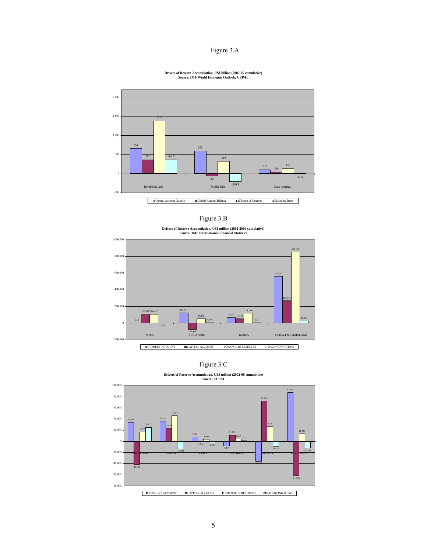#### Figure 3.A

#### **Drivers of Reserve Accumulation, US\$ billion (2002-06 cumulative) Source: IMF World Economic Outlook; CEPAL**



| .onr<br>e |  |
|-----------|--|

**Drivers of Reserve Accumulation, US\$ million (2002-2006 cumulative) Source: IMF International Financial Statistics**



Figure 3.C

**Drivers of Reserve Accumulation, US\$ million (2002-06 cumulative) Source: CEPAL**

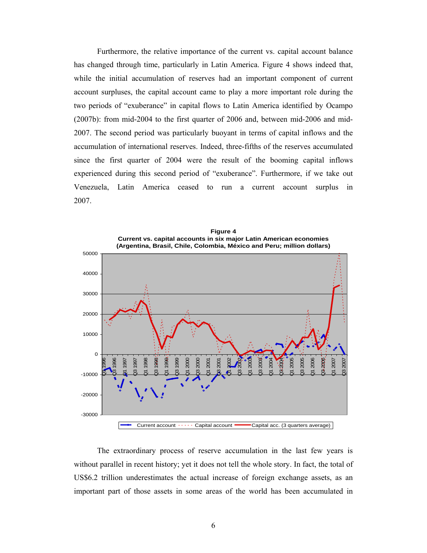Furthermore, the relative importance of the current vs. capital account balance has changed through time, particularly in Latin America. Figure 4 shows indeed that, while the initial accumulation of reserves had an important component of current account surpluses, the capital account came to play a more important role during the two periods of "exuberance" in capital flows to Latin America identified by Ocampo (2007b): from mid-2004 to the first quarter of 2006 and, between mid-2006 and mid-2007. The second period was particularly buoyant in terms of capital inflows and the accumulation of international reserves. Indeed, three-fifths of the reserves accumulated since the first quarter of 2004 were the result of the booming capital inflows experienced during this second period of "exuberance". Furthermore, if we take out Venezuela, Latin America ceased to run a current account surplus in 2007.



The extraordinary process of reserve accumulation in the last few years is without parallel in recent history; yet it does not tell the whole story. In fact, the total of US\$6.2 trillion underestimates the actual increase of foreign exchange assets, as an important part of those assets in some areas of the world has been accumulated in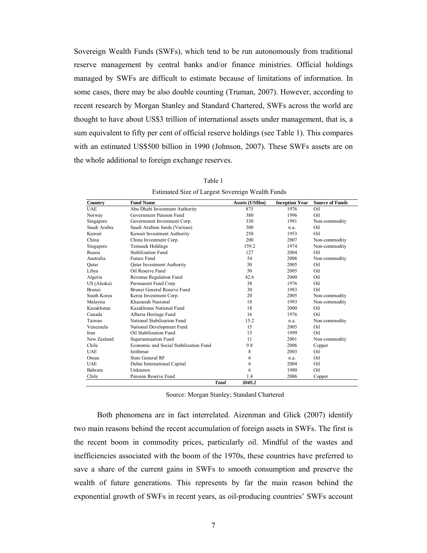Sovereign Wealth Funds (SWFs), which tend to be run autonomously from traditional reserve management by central banks and/or finance ministries. Official holdings managed by SWFs are difficult to estimate because of limitations of information. In some cases, there may be also double counting (Truman, 2007). However, according to recent research by Morgan Stanley and Standard Chartered, SWFs across the world are thought to have about US\$3 trillion of international assets under management, that is, a sum equivalent to fifty per cent of official reserve holdings (see Table 1). This compares with an estimated US\$500 billion in 1990 (Johnson, 2007). These SWFs assets are on the whole additional to foreign exchange reserves.

| Country       | <b>Fund Name</b>                       | Assets (US\$bn) | <b>Inception Year</b> | <b>Source of Funds</b> |
|---------------|----------------------------------------|-----------------|-----------------------|------------------------|
| <b>UAE</b>    | Abu Dhabi Investment Authority         | 875             | 1976                  | Oil                    |
| Norway        | Government Pension Fund                | 380             | 1996                  | Oil                    |
| Singapore     | Governemnt Investment Corp.            | 330             | 1981                  | Non-commodity          |
| Saudi Arabia  | Saudi Arabian funds (Various)          | 300             | n.a.                  | Oil                    |
| Kuwait        | Kuwait Investment Authority            | 250             | 1953                  | Oil                    |
| China         | China Investment Corp.                 | 200             | 2007                  | Non-commodity          |
| Singapore     | Temasek Holdings                       | 159.2           | 1974                  | Non-commodity          |
| Russia        | Stabilization Fund                     | 127             | 2004                  | Oil                    |
| Australia     | <b>Future Fund</b>                     | 54              | 2006                  | Non-commodity          |
| Qatar         | Oatar Investment Authority             | 50              | 2005                  | Oil                    |
| Libya         | Oil Reserve Fund                       | 50              | 2005                  | Oil                    |
| Algeria       | Revenue Regulation Fund                | 42.6            | 2000                  | Oil                    |
| US (Alaska)   | Permanent Fund Corp.                   | 38              | 1976                  | Oil                    |
| <b>Brunei</b> | Brunei General Reserve Fund            | 30              | 1983                  | Oil                    |
| South Korea   | Korea Investment Corp.                 | 20              | 2005                  | Non-commodity          |
| Malaysia      | Khazanah Nasional                      | 18              | 1993                  | Non-commodity          |
| Kazakhstan    | Kazakhstan National Fund               | 18              | 2000                  | Oil                    |
| Canada        | Alberta Heritage Fund                  | 16              | 1976                  | Oil                    |
| Taiwan        | National Stabilisation Fund            | 15.2            | n.a.                  | Non-commodity          |
| Venezuela     | National Development Fund              | 15              | 2005                  | Oil                    |
| Iran          | Oil Stabilization Fund                 | 13              | 1999                  | Oil                    |
| New Zealand   | Superannuation Fund                    | 11              | 2001                  | Non-commodity          |
| Chile         | Economic and Social Stabilization Fund | 9.8             | 2006                  | Copper                 |
| <b>UAE</b>    | Istithmar                              | 8               | 2003                  | Oil                    |
| Oman          | <b>State General RF</b>                | 6               | n.a.                  | Oil                    |
| <b>UAE</b>    | Dubai International Capital            | 6               | 2004                  | Oil                    |
| Bahrain       | Unknown                                | 6               | 1980                  | Oil                    |
| Chile         | Pension Reserve Fund                   | 1.4             | 2006                  | Copper                 |
|               | <b>Total</b>                           | 3049.2          |                       |                        |

Table 1 Estimated Size of Largest Sovereign Wealth Funds

Source: Morgan Stanley; Standard Chartered

Both phenomena are in fact interrelated. Aizenman and Glick (2007) identify two main reasons behind the recent accumulation of foreign assets in SWFs. The first is the recent boom in commodity prices, particularly oil. Mindful of the wastes and inefficiencies associated with the boom of the 1970s, these countries have preferred to save a share of the current gains in SWFs to smooth consumption and preserve the wealth of future generations. This represents by far the main reason behind the exponential growth of SWFs in recent years, as oil-producing countries' SWFs account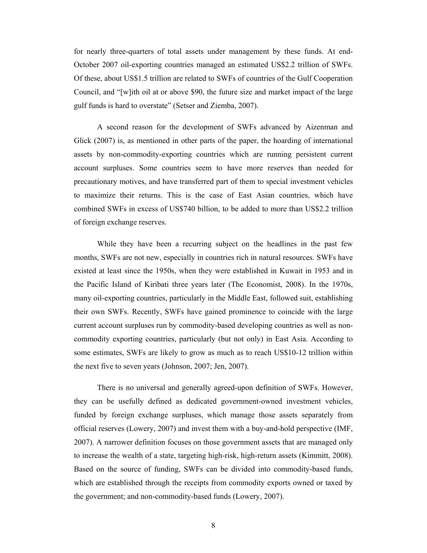for nearly three-quarters of total assets under management by these funds. At end-October 2007 oil-exporting countries managed an estimated US\$2.2 trillion of SWFs. Of these, about US\$1.5 trillion are related to SWFs of countries of the Gulf Cooperation Council, and "[w]ith oil at or above \$90, the future size and market impact of the large gulf funds is hard to overstate" (Setser and Ziemba, 2007).

A second reason for the development of SWFs advanced by Aizenman and Glick (2007) is, as mentioned in other parts of the paper, the hoarding of international assets by non-commodity-exporting countries which are running persistent current account surpluses. Some countries seem to have more reserves than needed for precautionary motives, and have transferred part of them to special investment vehicles to maximize their returns. This is the case of East Asian countries, which have combined SWFs in excess of US\$740 billion, to be added to more than US\$2.2 trillion of foreign exchange reserves.

While they have been a recurring subject on the headlines in the past few months, SWFs are not new, especially in countries rich in natural resources. SWFs have existed at least since the 1950s, when they were established in Kuwait in 1953 and in the Pacific Island of Kiribati three years later (The Economist, 2008). In the 1970s, many oil-exporting countries, particularly in the Middle East, followed suit, establishing their own SWFs. Recently, SWFs have gained prominence to coincide with the large current account surpluses run by commodity-based developing countries as well as noncommodity exporting countries, particularly (but not only) in East Asia. According to some estimates, SWFs are likely to grow as much as to reach US\$10-12 trillion within the next five to seven years (Johnson, 2007; Jen, 2007).

There is no universal and generally agreed-upon definition of SWFs. However, they can be usefully defined as dedicated government-owned investment vehicles, funded by foreign exchange surpluses, which manage those assets separately from official reserves (Lowery, 2007) and invest them with a buy-and-hold perspective (IMF, 2007). A narrower definition focuses on those government assets that are managed only to increase the wealth of a state, targeting high-risk, high-return assets (Kimmitt, 2008). Based on the source of funding, SWFs can be divided into commodity-based funds, which are established through the receipts from commodity exports owned or taxed by the government; and non-commodity-based funds (Lowery, 2007).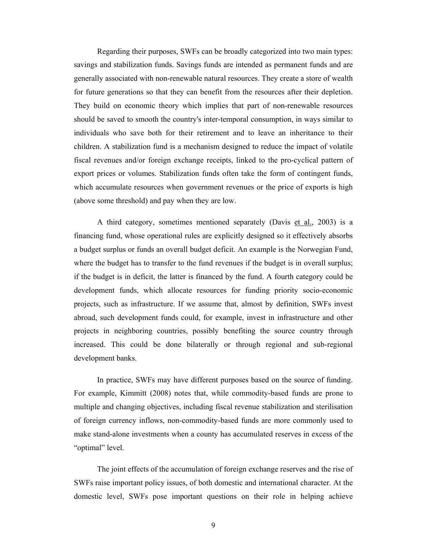Regarding their purposes, SWFs can be broadly categorized into two main types: savings and stabilization funds. Savings funds are intended as permanent funds and are generally associated with non-renewable natural resources. They create a store of wealth for future generations so that they can benefit from the resources after their depletion. They build on economic theory which implies that part of non-renewable resources should be saved to smooth the country's inter-temporal consumption, in ways similar to individuals who save both for their retirement and to leave an inheritance to their children. A stabilization fund is a mechanism designed to reduce the impact of volatile fiscal revenues and/or foreign exchange receipts, linked to the pro-cyclical pattern of export prices or volumes. Stabilization funds often take the form of contingent funds, which accumulate resources when government revenues or the price of exports is high (above some threshold) and pay when they are low.

A third category, sometimes mentioned separately (Davis et al., 2003) is a financing fund, whose operational rules are explicitly designed so it effectively absorbs a budget surplus or funds an overall budget deficit. An example is the Norwegian Fund, where the budget has to transfer to the fund revenues if the budget is in overall surplus; if the budget is in deficit, the latter is financed by the fund. A fourth category could be development funds, which allocate resources for funding priority socio-economic projects, such as infrastructure. If we assume that, almost by definition, SWFs invest abroad, such development funds could, for example, invest in infrastructure and other projects in neighboring countries, possibly benefiting the source country through increased. This could be done bilaterally or through regional and sub-regional development banks.

In practice, SWFs may have different purposes based on the source of funding. For example, Kimmitt (2008) notes that, while commodity-based funds are prone to multiple and changing objectives, including fiscal revenue stabilization and sterilisation of foreign currency inflows, non-commodity-based funds are more commonly used to make stand-alone investments when a county has accumulated reserves in excess of the "optimal" level.

The joint effects of the accumulation of foreign exchange reserves and the rise of SWFs raise important policy issues, of both domestic and international character. At the domestic level, SWFs pose important questions on their role in helping achieve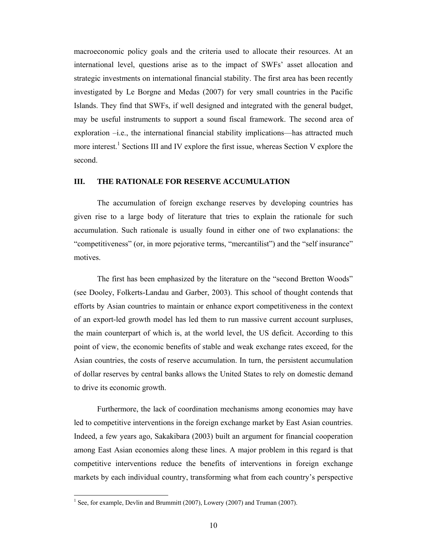macroeconomic policy goals and the criteria used to allocate their resources. At an international level, questions arise as to the impact of SWFs' asset allocation and strategic investments on international financial stability. The first area has been recently investigated by Le Borgne and Medas (2007) for very small countries in the Pacific Islands. They find that SWFs, if well designed and integrated with the general budget, may be useful instruments to support a sound fiscal framework. The second area of exploration  $-i.e.,$  the international financial stability implications—has attracted much more interest.<sup>1</sup> Sections III and IV explore the first issue, whereas Section V explore the second.

#### **III. THE RATIONALE FOR RESERVE ACCUMULATION**

 The accumulation of foreign exchange reserves by developing countries has given rise to a large body of literature that tries to explain the rationale for such accumulation. Such rationale is usually found in either one of two explanations: the "competitiveness" (or, in more pejorative terms, "mercantilist") and the "self insurance" motives.

The first has been emphasized by the literature on the "second Bretton Woods" (see Dooley, Folkerts-Landau and Garber, 2003). This school of thought contends that efforts by Asian countries to maintain or enhance export competitiveness in the context of an export-led growth model has led them to run massive current account surpluses, the main counterpart of which is, at the world level, the US deficit. According to this point of view, the economic benefits of stable and weak exchange rates exceed, for the Asian countries, the costs of reserve accumulation. In turn, the persistent accumulation of dollar reserves by central banks allows the United States to rely on domestic demand to drive its economic growth.

 Furthermore, the lack of coordination mechanisms among economies may have led to competitive interventions in the foreign exchange market by East Asian countries. Indeed, a few years ago, Sakakibara (2003) built an argument for financial cooperation among East Asian economies along these lines. A major problem in this regard is that competitive interventions reduce the benefits of interventions in foreign exchange markets by each individual country, transforming what from each country's perspective

 $\overline{a}$ 

<sup>&</sup>lt;sup>1</sup> See, for example, Devlin and Brummitt (2007), Lowery (2007) and Truman (2007).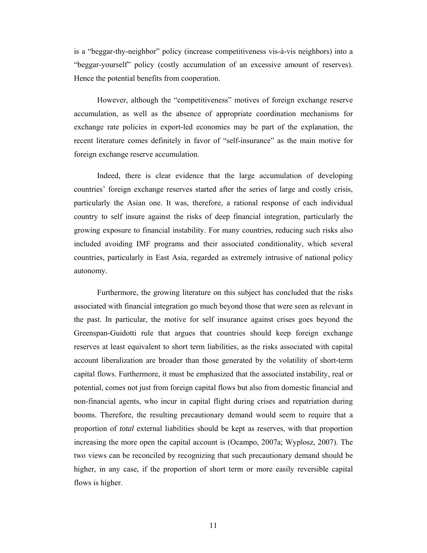is a "beggar-thy-neighbor" policy (increase competitiveness vis-à-vis neighbors) into a "beggar-yourself" policy (costly accumulation of an excessive amount of reserves). Hence the potential benefits from cooperation.

 However, although the "competitiveness" motives of foreign exchange reserve accumulation, as well as the absence of appropriate coordination mechanisms for exchange rate policies in export-led economies may be part of the explanation, the recent literature comes definitely in favor of "self-insurance" as the main motive for foreign exchange reserve accumulation.

Indeed, there is clear evidence that the large accumulation of developing countries' foreign exchange reserves started after the series of large and costly crisis, particularly the Asian one. It was, therefore, a rational response of each individual country to self insure against the risks of deep financial integration, particularly the growing exposure to financial instability. For many countries, reducing such risks also included avoiding IMF programs and their associated conditionality, which several countries, particularly in East Asia, regarded as extremely intrusive of national policy autonomy.

Furthermore, the growing literature on this subject has concluded that the risks associated with financial integration go much beyond those that were seen as relevant in the past. In particular, the motive for self insurance against crises goes beyond the Greenspan-Guidotti rule that argues that countries should keep foreign exchange reserves at least equivalent to short term liabilities, as the risks associated with capital account liberalization are broader than those generated by the volatility of short-term capital flows. Furthermore, it must be emphasized that the associated instability, real or potential, comes not just from foreign capital flows but also from domestic financial and non-financial agents, who incur in capital flight during crises and repatriation during booms. Therefore, the resulting precautionary demand would seem to require that a proportion of *total* external liabilities should be kept as reserves, with that proportion increasing the more open the capital account is (Ocampo, 2007a; Wyplosz, 2007). The two views can be reconciled by recognizing that such precautionary demand should be higher, in any case, if the proportion of short term or more easily reversible capital flows is higher.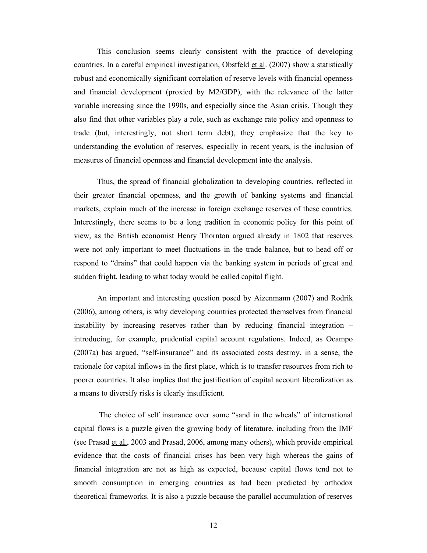This conclusion seems clearly consistent with the practice of developing countries. In a careful empirical investigation, Obstfeld et al. (2007) show a statistically robust and economically significant correlation of reserve levels with financial openness and financial development (proxied by M2/GDP), with the relevance of the latter variable increasing since the 1990s, and especially since the Asian crisis. Though they also find that other variables play a role, such as exchange rate policy and openness to trade (but, interestingly, not short term debt), they emphasize that the key to understanding the evolution of reserves, especially in recent years, is the inclusion of measures of financial openness and financial development into the analysis.

Thus, the spread of financial globalization to developing countries, reflected in their greater financial openness, and the growth of banking systems and financial markets, explain much of the increase in foreign exchange reserves of these countries. Interestingly, there seems to be a long tradition in economic policy for this point of view, as the British economist Henry Thornton argued already in 1802 that reserves were not only important to meet fluctuations in the trade balance, but to head off or respond to "drains" that could happen via the banking system in periods of great and sudden fright, leading to what today would be called capital flight.

An important and interesting question posed by Aizenmann (2007) and Rodrik (2006), among others, is why developing countries protected themselves from financial instability by increasing reserves rather than by reducing financial integration – introducing, for example, prudential capital account regulations. Indeed, as Ocampo (2007a) has argued, "self-insurance" and its associated costs destroy, in a sense, the rationale for capital inflows in the first place, which is to transfer resources from rich to poorer countries. It also implies that the justification of capital account liberalization as a means to diversify risks is clearly insufficient.

 The choice of self insurance over some "sand in the wheals" of international capital flows is a puzzle given the growing body of literature, including from the IMF (see Prasad et al., 2003 and Prasad, 2006, among many others), which provide empirical evidence that the costs of financial crises has been very high whereas the gains of financial integration are not as high as expected, because capital flows tend not to smooth consumption in emerging countries as had been predicted by orthodox theoretical frameworks. It is also a puzzle because the parallel accumulation of reserves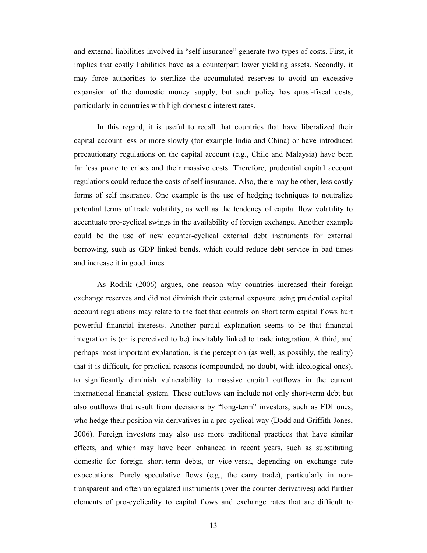and external liabilities involved in "self insurance" generate two types of costs. First, it implies that costly liabilities have as a counterpart lower yielding assets. Secondly, it may force authorities to sterilize the accumulated reserves to avoid an excessive expansion of the domestic money supply, but such policy has quasi-fiscal costs, particularly in countries with high domestic interest rates.

In this regard, it is useful to recall that countries that have liberalized their capital account less or more slowly (for example India and China) or have introduced precautionary regulations on the capital account (e.g., Chile and Malaysia) have been far less prone to crises and their massive costs. Therefore, prudential capital account regulations could reduce the costs of self insurance. Also, there may be other, less costly forms of self insurance. One example is the use of hedging techniques to neutralize potential terms of trade volatility, as well as the tendency of capital flow volatility to accentuate pro-cyclical swings in the availability of foreign exchange. Another example could be the use of new counter-cyclical external debt instruments for external borrowing, such as GDP-linked bonds, which could reduce debt service in bad times and increase it in good times

As Rodrik (2006) argues, one reason why countries increased their foreign exchange reserves and did not diminish their external exposure using prudential capital account regulations may relate to the fact that controls on short term capital flows hurt powerful financial interests. Another partial explanation seems to be that financial integration is (or is perceived to be) inevitably linked to trade integration. A third, and perhaps most important explanation, is the perception (as well, as possibly, the reality) that it is difficult, for practical reasons (compounded, no doubt, with ideological ones), to significantly diminish vulnerability to massive capital outflows in the current international financial system. These outflows can include not only short-term debt but also outflows that result from decisions by "long-term" investors, such as FDI ones, who hedge their position via derivatives in a pro-cyclical way (Dodd and Griffith-Jones, 2006). Foreign investors may also use more traditional practices that have similar effects, and which may have been enhanced in recent years, such as substituting domestic for foreign short-term debts, or vice-versa, depending on exchange rate expectations. Purely speculative flows (e.g., the carry trade), particularly in nontransparent and often unregulated instruments (over the counter derivatives) add further elements of pro-cyclicality to capital flows and exchange rates that are difficult to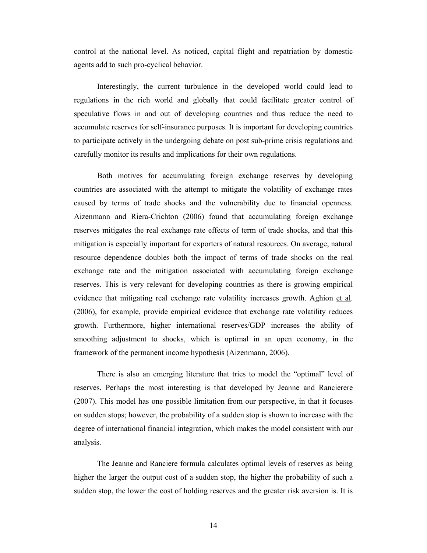control at the national level. As noticed, capital flight and repatriation by domestic agents add to such pro-cyclical behavior.

Interestingly, the current turbulence in the developed world could lead to regulations in the rich world and globally that could facilitate greater control of speculative flows in and out of developing countries and thus reduce the need to accumulate reserves for self-insurance purposes. It is important for developing countries to participate actively in the undergoing debate on post sub-prime crisis regulations and carefully monitor its results and implications for their own regulations.

Both motives for accumulating foreign exchange reserves by developing countries are associated with the attempt to mitigate the volatility of exchange rates caused by terms of trade shocks and the vulnerability due to financial openness. Aizenmann and Riera-Crichton (2006) found that accumulating foreign exchange reserves mitigates the real exchange rate effects of term of trade shocks, and that this mitigation is especially important for exporters of natural resources. On average, natural resource dependence doubles both the impact of terms of trade shocks on the real exchange rate and the mitigation associated with accumulating foreign exchange reserves. This is very relevant for developing countries as there is growing empirical evidence that mitigating real exchange rate volatility increases growth. Aghion et al. (2006), for example, provide empirical evidence that exchange rate volatility reduces growth. Furthermore, higher international reserves/GDP increases the ability of smoothing adjustment to shocks, which is optimal in an open economy, in the framework of the permanent income hypothesis (Aizenmann, 2006).

There is also an emerging literature that tries to model the "optimal" level of reserves. Perhaps the most interesting is that developed by Jeanne and Rancierere (2007). This model has one possible limitation from our perspective, in that it focuses on sudden stops; however, the probability of a sudden stop is shown to increase with the degree of international financial integration, which makes the model consistent with our analysis.

The Jeanne and Ranciere formula calculates optimal levels of reserves as being higher the larger the output cost of a sudden stop, the higher the probability of such a sudden stop, the lower the cost of holding reserves and the greater risk aversion is. It is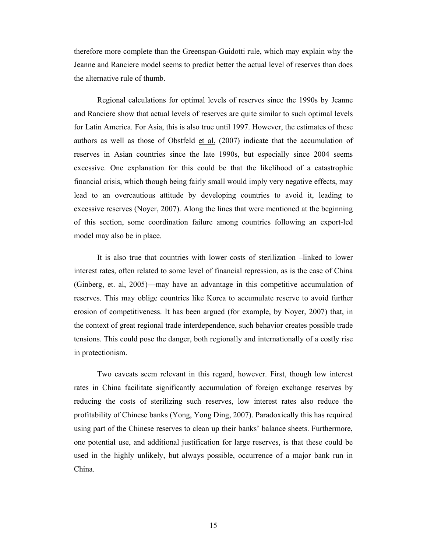therefore more complete than the Greenspan-Guidotti rule, which may explain why the Jeanne and Ranciere model seems to predict better the actual level of reserves than does the alternative rule of thumb.

Regional calculations for optimal levels of reserves since the 1990s by Jeanne and Ranciere show that actual levels of reserves are quite similar to such optimal levels for Latin America. For Asia, this is also true until 1997. However, the estimates of these authors as well as those of Obstfeld  $et al.$  (2007) indicate that the accumulation of</u> reserves in Asian countries since the late 1990s, but especially since 2004 seems excessive. One explanation for this could be that the likelihood of a catastrophic financial crisis, which though being fairly small would imply very negative effects, may lead to an overcautious attitude by developing countries to avoid it, leading to excessive reserves (Noyer, 2007). Along the lines that were mentioned at the beginning of this section, some coordination failure among countries following an export-led model may also be in place.

It is also true that countries with lower costs of sterilization –linked to lower interest rates, often related to some level of financial repression, as is the case of China (Ginberg, et. al, 2005)—may have an advantage in this competitive accumulation of reserves. This may oblige countries like Korea to accumulate reserve to avoid further erosion of competitiveness. It has been argued (for example, by Noyer, 2007) that, in the context of great regional trade interdependence, such behavior creates possible trade tensions. This could pose the danger, both regionally and internationally of a costly rise in protectionism.

Two caveats seem relevant in this regard, however. First, though low interest rates in China facilitate significantly accumulation of foreign exchange reserves by reducing the costs of sterilizing such reserves, low interest rates also reduce the profitability of Chinese banks (Yong, Yong Ding, 2007). Paradoxically this has required using part of the Chinese reserves to clean up their banks' balance sheets. Furthermore, one potential use, and additional justification for large reserves, is that these could be used in the highly unlikely, but always possible, occurrence of a major bank run in China.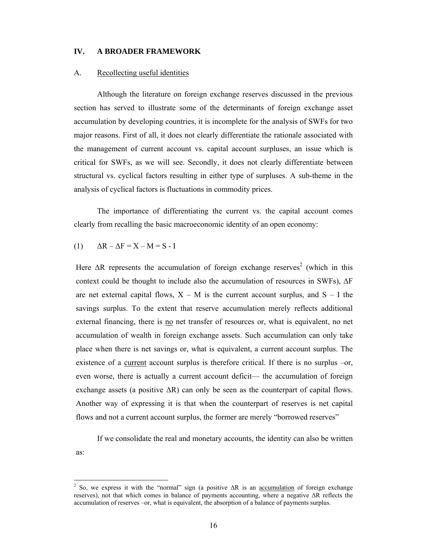#### **IV. A BROADER FRAMEWORK**

#### A. Recollecting useful identities

Although the literature on foreign exchange reserves discussed in the previous section has served to illustrate some of the determinants of foreign exchange asset accumulation by developing countries, it is incomplete for the analysis of SWFs for two major reasons. First of all, it does not clearly differentiate the rationale associated with the management of current account vs. capital account surpluses, an issue which is critical for SWFs, as we will see. Secondly, it does not clearly differentiate between structural vs. cyclical factors resulting in either type of surpluses. A sub-theme in the analysis of cyclical factors is fluctuations in commodity prices.

The importance of differentiating the current vs. the capital account comes clearly from recalling the basic macroeconomic identity of an open economy:

$$
(1) \qquad \Delta R - \Delta F = X - M = S - I
$$

 $\overline{a}$ 

Here  $\Delta R$  represents the accumulation of foreign exchange reserves<sup>2</sup> (which in this context could be thought to include also the accumulation of resources in SWFs), ∆F are net external capital flows,  $X - M$  is the current account surplus, and  $S - I$  the savings surplus. To the extent that reserve accumulation merely reflects additional external financing, there is no net transfer of resources or, what is equivalent, no net accumulation of wealth in foreign exchange assets. Such accumulation can only take place when there is net savings or, what is equivalent, a current account surplus. The existence of a current account surplus is therefore critical. If there is no surplus –or, even worse, there is actually a current account deficit— the accumulation of foreign exchange assets (a positive  $\Delta R$ ) can only be seen as the counterpart of capital flows. Another way of expressing it is that when the counterpart of reserves is net capital flows and not a current account surplus, the former are merely "borrowed reserves"

 If we consolidate the real and monetary accounts, the identity can also be written as:

<sup>&</sup>lt;sup>2</sup> So, we express it with the "normal" sign (a positive  $\Delta R$  is an <u>accumulation</u> of foreign exchange reserves), not that which comes in balance of payments accounting, where a negative ∆R reflects the accumulation of reserves –or, what is equivalent, the absorption of a balance of payments surplus.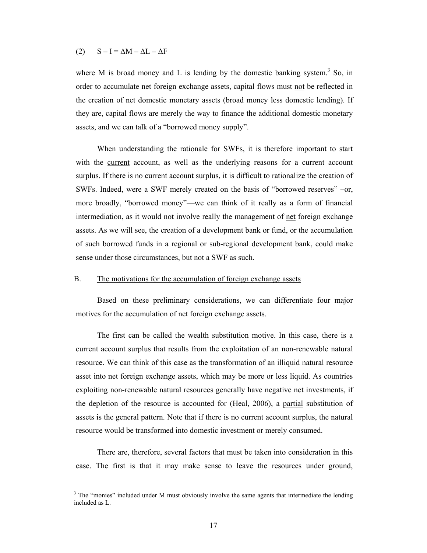#### (2)  $S - I = \Delta M - \Delta L - \Delta F$

 $\overline{a}$ 

where M is broad money and L is lending by the domestic banking system.<sup>3</sup> So, in order to accumulate net foreign exchange assets, capital flows must not be reflected in the creation of net domestic monetary assets (broad money less domestic lending). If they are, capital flows are merely the way to finance the additional domestic monetary assets, and we can talk of a "borrowed money supply".

 When understanding the rationale for SWFs, it is therefore important to start with the current account, as well as the underlying reasons for a current account surplus. If there is no current account surplus, it is difficult to rationalize the creation of SWFs. Indeed, were a SWF merely created on the basis of "borrowed reserves" –or, more broadly, "borrowed money"—we can think of it really as a form of financial intermediation, as it would not involve really the management of net foreign exchange assets. As we will see, the creation of a development bank or fund, or the accumulation of such borrowed funds in a regional or sub-regional development bank, could make sense under those circumstances, but not a SWF as such.

#### B. The motivations for the accumulation of foreign exchange assets

Based on these preliminary considerations, we can differentiate four major motives for the accumulation of net foreign exchange assets.

 The first can be called the wealth substitution motive. In this case, there is a current account surplus that results from the exploitation of an non-renewable natural resource. We can think of this case as the transformation of an illiquid natural resource asset into net foreign exchange assets, which may be more or less liquid. As countries exploiting non-renewable natural resources generally have negative net investments, if the depletion of the resource is accounted for (Heal, 2006), a partial substitution of assets is the general pattern. Note that if there is no current account surplus, the natural resource would be transformed into domestic investment or merely consumed.

There are, therefore, several factors that must be taken into consideration in this case. The first is that it may make sense to leave the resources under ground,

 $3$  The "monies" included under M must obviously involve the same agents that intermediate the lending included as L.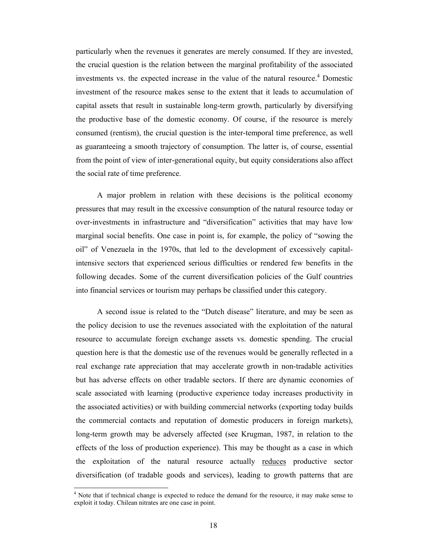particularly when the revenues it generates are merely consumed. If they are invested, the crucial question is the relation between the marginal profitability of the associated investments vs. the expected increase in the value of the natural resource.<sup>4</sup> Domestic investment of the resource makes sense to the extent that it leads to accumulation of capital assets that result in sustainable long-term growth, particularly by diversifying the productive base of the domestic economy. Of course, if the resource is merely consumed (rentism), the crucial question is the inter-temporal time preference, as well as guaranteeing a smooth trajectory of consumption. The latter is, of course, essential from the point of view of inter-generational equity, but equity considerations also affect the social rate of time preference.

A major problem in relation with these decisions is the political economy pressures that may result in the excessive consumption of the natural resource today or over-investments in infrastructure and "diversification" activities that may have low marginal social benefits. One case in point is, for example, the policy of "sowing the oil" of Venezuela in the 1970s, that led to the development of excessively capitalintensive sectors that experienced serious difficulties or rendered few benefits in the following decades. Some of the current diversification policies of the Gulf countries into financial services or tourism may perhaps be classified under this category.

A second issue is related to the "Dutch disease" literature, and may be seen as the policy decision to use the revenues associated with the exploitation of the natural resource to accumulate foreign exchange assets vs. domestic spending. The crucial question here is that the domestic use of the revenues would be generally reflected in a real exchange rate appreciation that may accelerate growth in non-tradable activities but has adverse effects on other tradable sectors. If there are dynamic economies of scale associated with learning (productive experience today increases productivity in the associated activities) or with building commercial networks (exporting today builds the commercial contacts and reputation of domestic producers in foreign markets), long-term growth may be adversely affected (see Krugman, 1987, in relation to the effects of the loss of production experience). This may be thought as a case in which the exploitation of the natural resource actually reduces productive sector diversification (of tradable goods and services), leading to growth patterns that are

 $\overline{a}$ 

<sup>&</sup>lt;sup>4</sup> Note that if technical change is expected to reduce the demand for the resource, it may make sense to exploit it today. Chilean nitrates are one case in point.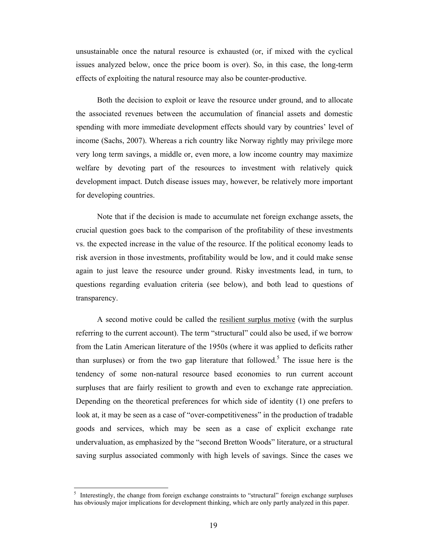unsustainable once the natural resource is exhausted (or, if mixed with the cyclical issues analyzed below, once the price boom is over). So, in this case, the long-term effects of exploiting the natural resource may also be counter-productive.

Both the decision to exploit or leave the resource under ground, and to allocate the associated revenues between the accumulation of financial assets and domestic spending with more immediate development effects should vary by countries' level of income (Sachs, 2007). Whereas a rich country like Norway rightly may privilege more very long term savings, a middle or, even more, a low income country may maximize welfare by devoting part of the resources to investment with relatively quick development impact. Dutch disease issues may, however, be relatively more important for developing countries.

Note that if the decision is made to accumulate net foreign exchange assets, the crucial question goes back to the comparison of the profitability of these investments vs. the expected increase in the value of the resource. If the political economy leads to risk aversion in those investments, profitability would be low, and it could make sense again to just leave the resource under ground. Risky investments lead, in turn, to questions regarding evaluation criteria (see below), and both lead to questions of transparency.

A second motive could be called the resilient surplus motive (with the surplus referring to the current account). The term "structural" could also be used, if we borrow from the Latin American literature of the 1950s (where it was applied to deficits rather than surpluses) or from the two gap literature that followed.<sup>5</sup> The issue here is the tendency of some non-natural resource based economies to run current account surpluses that are fairly resilient to growth and even to exchange rate appreciation. Depending on the theoretical preferences for which side of identity (1) one prefers to look at, it may be seen as a case of "over-competitiveness" in the production of tradable goods and services, which may be seen as a case of explicit exchange rate undervaluation, as emphasized by the "second Bretton Woods" literature, or a structural saving surplus associated commonly with high levels of savings. Since the cases we

 $\overline{a}$ 

<sup>5</sup> Interestingly, the change from foreign exchange constraints to "structural" foreign exchange surpluses has obviously major implications for development thinking, which are only partly analyzed in this paper.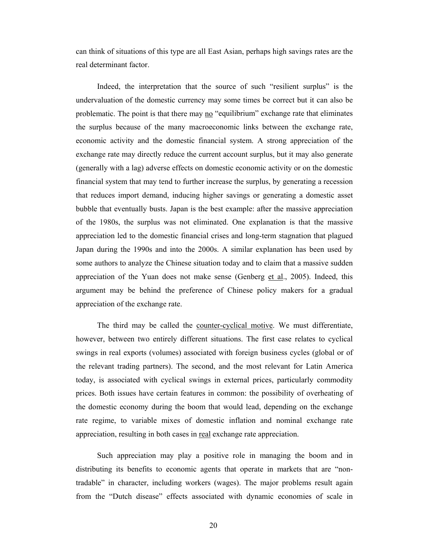can think of situations of this type are all East Asian, perhaps high savings rates are the real determinant factor.

Indeed, the interpretation that the source of such "resilient surplus" is the undervaluation of the domestic currency may some times be correct but it can also be problematic. The point is that there may no "equilibrium" exchange rate that eliminates the surplus because of the many macroeconomic links between the exchange rate, economic activity and the domestic financial system. A strong appreciation of the exchange rate may directly reduce the current account surplus, but it may also generate (generally with a lag) adverse effects on domestic economic activity or on the domestic financial system that may tend to further increase the surplus, by generating a recession that reduces import demand, inducing higher savings or generating a domestic asset bubble that eventually busts. Japan is the best example: after the massive appreciation of the 1980s, the surplus was not eliminated. One explanation is that the massive appreciation led to the domestic financial crises and long-term stagnation that plagued Japan during the 1990s and into the 2000s. A similar explanation has been used by some authors to analyze the Chinese situation today and to claim that a massive sudden appreciation of the Yuan does not make sense (Genberg et al., 2005). Indeed, this argument may be behind the preference of Chinese policy makers for a gradual appreciation of the exchange rate.

The third may be called the counter-cyclical motive. We must differentiate, however, between two entirely different situations. The first case relates to cyclical swings in real exports (volumes) associated with foreign business cycles (global or of the relevant trading partners). The second, and the most relevant for Latin America today, is associated with cyclical swings in external prices, particularly commodity prices. Both issues have certain features in common: the possibility of overheating of the domestic economy during the boom that would lead, depending on the exchange rate regime, to variable mixes of domestic inflation and nominal exchange rate appreciation, resulting in both cases in real exchange rate appreciation.

Such appreciation may play a positive role in managing the boom and in distributing its benefits to economic agents that operate in markets that are "nontradable" in character, including workers (wages). The major problems result again from the "Dutch disease" effects associated with dynamic economies of scale in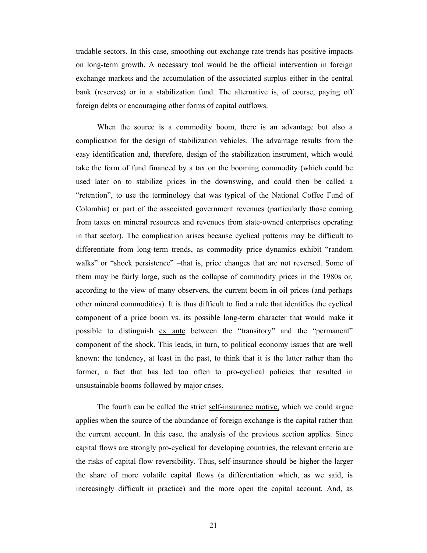tradable sectors. In this case, smoothing out exchange rate trends has positive impacts on long-term growth. A necessary tool would be the official intervention in foreign exchange markets and the accumulation of the associated surplus either in the central bank (reserves) or in a stabilization fund. The alternative is, of course, paying off foreign debts or encouraging other forms of capital outflows.

When the source is a commodity boom, there is an advantage but also a complication for the design of stabilization vehicles. The advantage results from the easy identification and, therefore, design of the stabilization instrument, which would take the form of fund financed by a tax on the booming commodity (which could be used later on to stabilize prices in the downswing, and could then be called a "retention", to use the terminology that was typical of the National Coffee Fund of Colombia) or part of the associated government revenues (particularly those coming from taxes on mineral resources and revenues from state-owned enterprises operating in that sector). The complication arises because cyclical patterns may be difficult to differentiate from long-term trends, as commodity price dynamics exhibit "random walks" or "shock persistence" –that is, price changes that are not reversed. Some of them may be fairly large, such as the collapse of commodity prices in the 1980s or, according to the view of many observers, the current boom in oil prices (and perhaps other mineral commodities). It is thus difficult to find a rule that identifies the cyclical component of a price boom vs. its possible long-term character that would make it possible to distinguish ex ante between the "transitory" and the "permanent" component of the shock. This leads, in turn, to political economy issues that are well known: the tendency, at least in the past, to think that it is the latter rather than the former, a fact that has led too often to pro-cyclical policies that resulted in unsustainable booms followed by major crises.

The fourth can be called the strict self-insurance motive, which we could argue applies when the source of the abundance of foreign exchange is the capital rather than the current account. In this case, the analysis of the previous section applies. Since capital flows are strongly pro-cyclical for developing countries, the relevant criteria are the risks of capital flow reversibility. Thus, self-insurance should be higher the larger the share of more volatile capital flows (a differentiation which, as we said, is increasingly difficult in practice) and the more open the capital account. And, as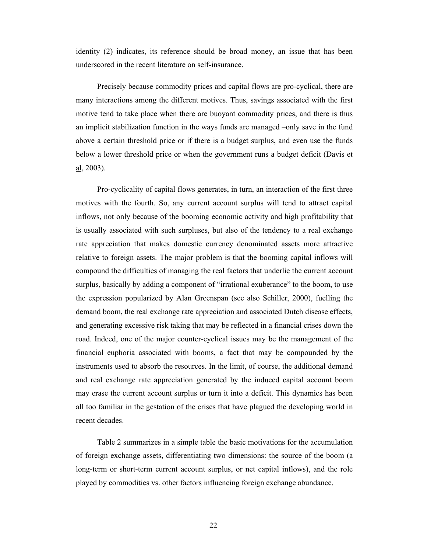identity (2) indicates, its reference should be broad money, an issue that has been underscored in the recent literature on self-insurance.

Precisely because commodity prices and capital flows are pro-cyclical, there are many interactions among the different motives. Thus, savings associated with the first motive tend to take place when there are buoyant commodity prices, and there is thus an implicit stabilization function in the ways funds are managed –only save in the fund above a certain threshold price or if there is a budget surplus, and even use the funds below a lower threshold price or when the government runs a budget deficit (Davis et  $\underline{al}$ , 2003).

Pro-cyclicality of capital flows generates, in turn, an interaction of the first three motives with the fourth. So, any current account surplus will tend to attract capital inflows, not only because of the booming economic activity and high profitability that is usually associated with such surpluses, but also of the tendency to a real exchange rate appreciation that makes domestic currency denominated assets more attractive relative to foreign assets. The major problem is that the booming capital inflows will compound the difficulties of managing the real factors that underlie the current account surplus, basically by adding a component of "irrational exuberance" to the boom, to use the expression popularized by Alan Greenspan (see also Schiller, 2000), fuelling the demand boom, the real exchange rate appreciation and associated Dutch disease effects, and generating excessive risk taking that may be reflected in a financial crises down the road. Indeed, one of the major counter-cyclical issues may be the management of the financial euphoria associated with booms, a fact that may be compounded by the instruments used to absorb the resources. In the limit, of course, the additional demand and real exchange rate appreciation generated by the induced capital account boom may erase the current account surplus or turn it into a deficit. This dynamics has been all too familiar in the gestation of the crises that have plagued the developing world in recent decades.

Table 2 summarizes in a simple table the basic motivations for the accumulation of foreign exchange assets, differentiating two dimensions: the source of the boom (a long-term or short-term current account surplus, or net capital inflows), and the role played by commodities vs. other factors influencing foreign exchange abundance.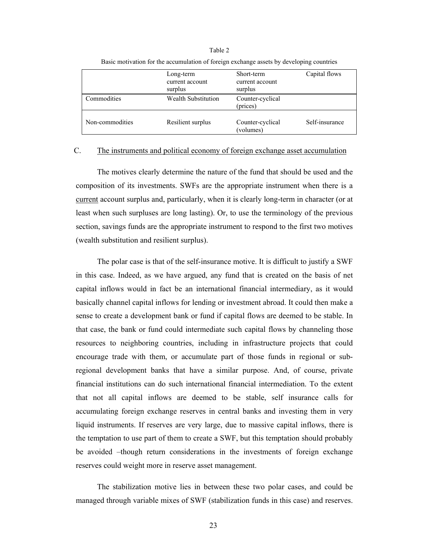|                 | Long-term<br>current account<br>surplus | Short-term<br>current account<br>surplus | Capital flows  |
|-----------------|-----------------------------------------|------------------------------------------|----------------|
| Commodities     | <b>Wealth Substitution</b>              | Counter-cyclical<br>(prices)             |                |
| Non-commodities | Resilient surplus                       | Counter-cyclical<br>(volumes)            | Self-insurance |

Table 2 Basic motivation for the accumulation of foreign exchange assets by developing countries

## C. The instruments and political economy of foreign exchange asset accumulation

The motives clearly determine the nature of the fund that should be used and the composition of its investments. SWFs are the appropriate instrument when there is a current account surplus and, particularly, when it is clearly long-term in character (or at least when such surpluses are long lasting). Or, to use the terminology of the previous section, savings funds are the appropriate instrument to respond to the first two motives (wealth substitution and resilient surplus).

The polar case is that of the self-insurance motive. It is difficult to justify a SWF in this case. Indeed, as we have argued, any fund that is created on the basis of net capital inflows would in fact be an international financial intermediary, as it would basically channel capital inflows for lending or investment abroad. It could then make a sense to create a development bank or fund if capital flows are deemed to be stable. In that case, the bank or fund could intermediate such capital flows by channeling those resources to neighboring countries, including in infrastructure projects that could encourage trade with them, or accumulate part of those funds in regional or subregional development banks that have a similar purpose. And, of course, private financial institutions can do such international financial intermediation. To the extent that not all capital inflows are deemed to be stable, self insurance calls for accumulating foreign exchange reserves in central banks and investing them in very liquid instruments. If reserves are very large, due to massive capital inflows, there is the temptation to use part of them to create a SWF, but this temptation should probably be avoided –though return considerations in the investments of foreign exchange reserves could weight more in reserve asset management.

The stabilization motive lies in between these two polar cases, and could be managed through variable mixes of SWF (stabilization funds in this case) and reserves.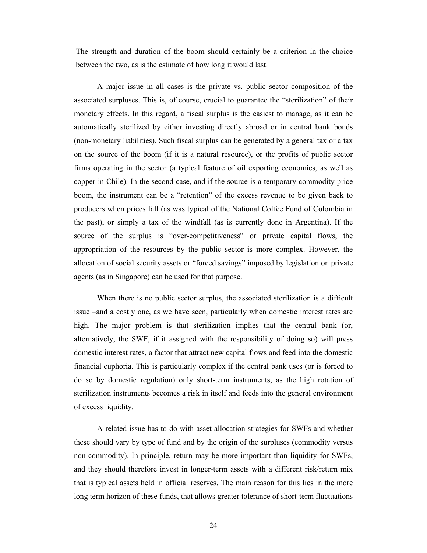The strength and duration of the boom should certainly be a criterion in the choice between the two, as is the estimate of how long it would last.

 A major issue in all cases is the private vs. public sector composition of the associated surpluses. This is, of course, crucial to guarantee the "sterilization" of their monetary effects. In this regard, a fiscal surplus is the easiest to manage, as it can be automatically sterilized by either investing directly abroad or in central bank bonds (non-monetary liabilities). Such fiscal surplus can be generated by a general tax or a tax on the source of the boom (if it is a natural resource), or the profits of public sector firms operating in the sector (a typical feature of oil exporting economies, as well as copper in Chile). In the second case, and if the source is a temporary commodity price boom, the instrument can be a "retention" of the excess revenue to be given back to producers when prices fall (as was typical of the National Coffee Fund of Colombia in the past), or simply a tax of the windfall (as is currently done in Argentina). If the source of the surplus is "over-competitiveness" or private capital flows, the appropriation of the resources by the public sector is more complex. However, the allocation of social security assets or "forced savings" imposed by legislation on private agents (as in Singapore) can be used for that purpose.

When there is no public sector surplus, the associated sterilization is a difficult issue –and a costly one, as we have seen, particularly when domestic interest rates are high. The major problem is that sterilization implies that the central bank (or, alternatively, the SWF, if it assigned with the responsibility of doing so) will press domestic interest rates, a factor that attract new capital flows and feed into the domestic financial euphoria. This is particularly complex if the central bank uses (or is forced to do so by domestic regulation) only short-term instruments, as the high rotation of sterilization instruments becomes a risk in itself and feeds into the general environment of excess liquidity.

A related issue has to do with asset allocation strategies for SWFs and whether these should vary by type of fund and by the origin of the surpluses (commodity versus non-commodity). In principle, return may be more important than liquidity for SWFs, and they should therefore invest in longer-term assets with a different risk/return mix that is typical assets held in official reserves. The main reason for this lies in the more long term horizon of these funds, that allows greater tolerance of short-term fluctuations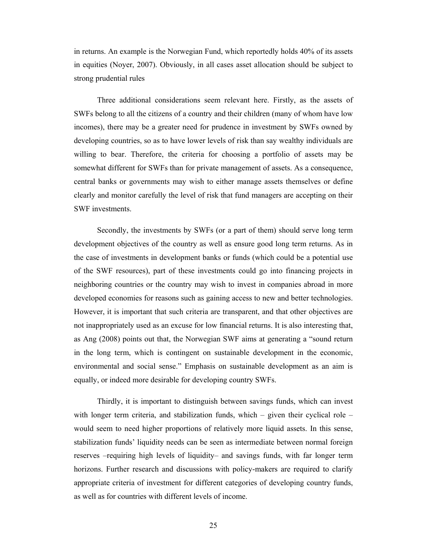in returns. An example is the Norwegian Fund, which reportedly holds 40% of its assets in equities (Noyer, 2007). Obviously, in all cases asset allocation should be subject to strong prudential rules

Three additional considerations seem relevant here. Firstly, as the assets of SWFs belong to all the citizens of a country and their children (many of whom have low incomes), there may be a greater need for prudence in investment by SWFs owned by developing countries, so as to have lower levels of risk than say wealthy individuals are willing to bear. Therefore, the criteria for choosing a portfolio of assets may be somewhat different for SWFs than for private management of assets. As a consequence, central banks or governments may wish to either manage assets themselves or define clearly and monitor carefully the level of risk that fund managers are accepting on their SWF investments.

Secondly, the investments by SWFs (or a part of them) should serve long term development objectives of the country as well as ensure good long term returns. As in the case of investments in development banks or funds (which could be a potential use of the SWF resources), part of these investments could go into financing projects in neighboring countries or the country may wish to invest in companies abroad in more developed economies for reasons such as gaining access to new and better technologies. However, it is important that such criteria are transparent, and that other objectives are not inappropriately used as an excuse for low financial returns. It is also interesting that, as Ang (2008) points out that, the Norwegian SWF aims at generating a "sound return in the long term, which is contingent on sustainable development in the economic, environmental and social sense." Emphasis on sustainable development as an aim is equally, or indeed more desirable for developing country SWFs.

Thirdly, it is important to distinguish between savings funds, which can invest with longer term criteria, and stabilization funds, which  $-$  given their cyclical role  $$ would seem to need higher proportions of relatively more liquid assets. In this sense, stabilization funds' liquidity needs can be seen as intermediate between normal foreign reserves –requiring high levels of liquidity– and savings funds, with far longer term horizons. Further research and discussions with policy-makers are required to clarify appropriate criteria of investment for different categories of developing country funds, as well as for countries with different levels of income.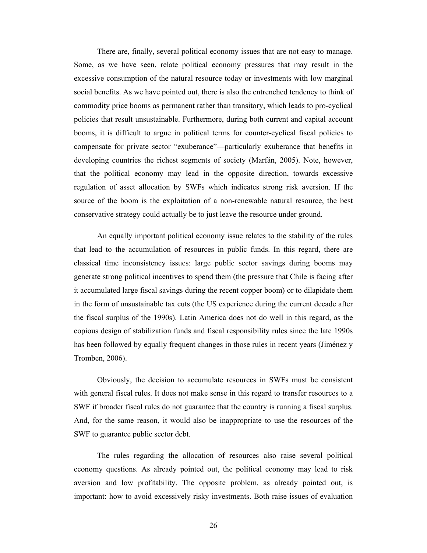There are, finally, several political economy issues that are not easy to manage. Some, as we have seen, relate political economy pressures that may result in the excessive consumption of the natural resource today or investments with low marginal social benefits. As we have pointed out, there is also the entrenched tendency to think of commodity price booms as permanent rather than transitory, which leads to pro-cyclical policies that result unsustainable. Furthermore, during both current and capital account booms, it is difficult to argue in political terms for counter-cyclical fiscal policies to compensate for private sector "exuberance"—particularly exuberance that benefits in developing countries the richest segments of society (Marfán, 2005). Note, however, that the political economy may lead in the opposite direction, towards excessive regulation of asset allocation by SWFs which indicates strong risk aversion. If the source of the boom is the exploitation of a non-renewable natural resource, the best conservative strategy could actually be to just leave the resource under ground.

 An equally important political economy issue relates to the stability of the rules that lead to the accumulation of resources in public funds. In this regard, there are classical time inconsistency issues: large public sector savings during booms may generate strong political incentives to spend them (the pressure that Chile is facing after it accumulated large fiscal savings during the recent copper boom) or to dilapidate them in the form of unsustainable tax cuts (the US experience during the current decade after the fiscal surplus of the 1990s). Latin America does not do well in this regard, as the copious design of stabilization funds and fiscal responsibility rules since the late 1990s has been followed by equally frequent changes in those rules in recent years (Jiménez y Tromben, 2006).

 Obviously, the decision to accumulate resources in SWFs must be consistent with general fiscal rules. It does not make sense in this regard to transfer resources to a SWF if broader fiscal rules do not guarantee that the country is running a fiscal surplus. And, for the same reason, it would also be inappropriate to use the resources of the SWF to guarantee public sector debt.

 The rules regarding the allocation of resources also raise several political economy questions. As already pointed out, the political economy may lead to risk aversion and low profitability. The opposite problem, as already pointed out, is important: how to avoid excessively risky investments. Both raise issues of evaluation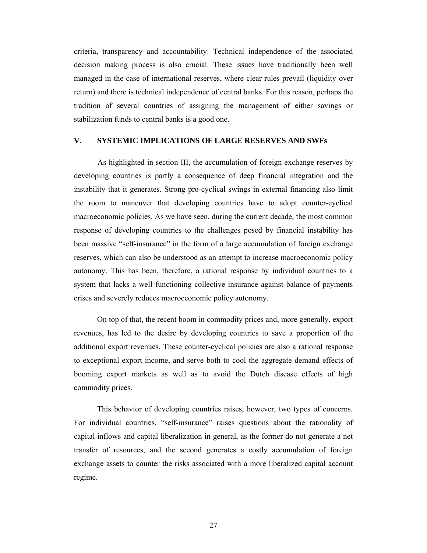criteria, transparency and accountability. Technical independence of the associated decision making process is also crucial. These issues have traditionally been well managed in the case of international reserves, where clear rules prevail (liquidity over return) and there is technical independence of central banks. For this reason, perhaps the tradition of several countries of assigning the management of either savings or stabilization funds to central banks is a good one.

#### **V. SYSTEMIC IMPLICATIONS OF LARGE RESERVES AND SWFs**

As highlighted in section III, the accumulation of foreign exchange reserves by developing countries is partly a consequence of deep financial integration and the instability that it generates. Strong pro-cyclical swings in external financing also limit the room to maneuver that developing countries have to adopt counter-cyclical macroeconomic policies. As we have seen, during the current decade, the most common response of developing countries to the challenges posed by financial instability has been massive "self-insurance" in the form of a large accumulation of foreign exchange reserves, which can also be understood as an attempt to increase macroeconomic policy autonomy. This has been, therefore, a rational response by individual countries to a system that lacks a well functioning collective insurance against balance of payments crises and severely reduces macroeconomic policy autonomy.

On top of that, the recent boom in commodity prices and, more generally, export revenues, has led to the desire by developing countries to save a proportion of the additional export revenues. These counter-cyclical policies are also a rational response to exceptional export income, and serve both to cool the aggregate demand effects of booming export markets as well as to avoid the Dutch disease effects of high commodity prices.

This behavior of developing countries raises, however, two types of concerns. For individual countries, "self-insurance" raises questions about the rationality of capital inflows and capital liberalization in general, as the former do not generate a net transfer of resources, and the second generates a costly accumulation of foreign exchange assets to counter the risks associated with a more liberalized capital account regime.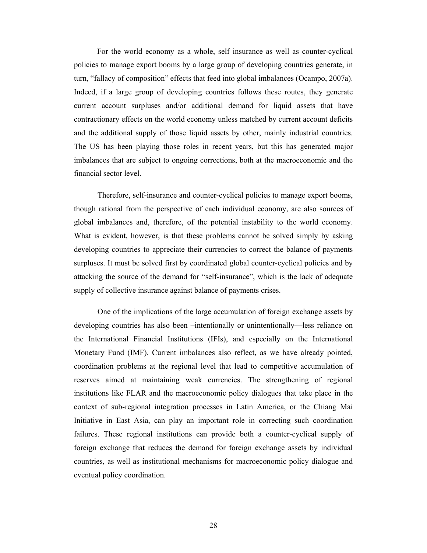For the world economy as a whole, self insurance as well as counter-cyclical policies to manage export booms by a large group of developing countries generate, in turn, "fallacy of composition" effects that feed into global imbalances (Ocampo, 2007a). Indeed, if a large group of developing countries follows these routes, they generate current account surpluses and/or additional demand for liquid assets that have contractionary effects on the world economy unless matched by current account deficits and the additional supply of those liquid assets by other, mainly industrial countries. The US has been playing those roles in recent years, but this has generated major imbalances that are subject to ongoing corrections, both at the macroeconomic and the financial sector level.

Therefore, self-insurance and counter-cyclical policies to manage export booms, though rational from the perspective of each individual economy, are also sources of global imbalances and, therefore, of the potential instability to the world economy. What is evident, however, is that these problems cannot be solved simply by asking developing countries to appreciate their currencies to correct the balance of payments surpluses. It must be solved first by coordinated global counter-cyclical policies and by attacking the source of the demand for "self-insurance", which is the lack of adequate supply of collective insurance against balance of payments crises.

One of the implications of the large accumulation of foreign exchange assets by developing countries has also been –intentionally or unintentionally—less reliance on the International Financial Institutions (IFIs), and especially on the International Monetary Fund (IMF). Current imbalances also reflect, as we have already pointed, coordination problems at the regional level that lead to competitive accumulation of reserves aimed at maintaining weak currencies. The strengthening of regional institutions like FLAR and the macroeconomic policy dialogues that take place in the context of sub-regional integration processes in Latin America, or the Chiang Mai Initiative in East Asia, can play an important role in correcting such coordination failures. These regional institutions can provide both a counter-cyclical supply of foreign exchange that reduces the demand for foreign exchange assets by individual countries, as well as institutional mechanisms for macroeconomic policy dialogue and eventual policy coordination.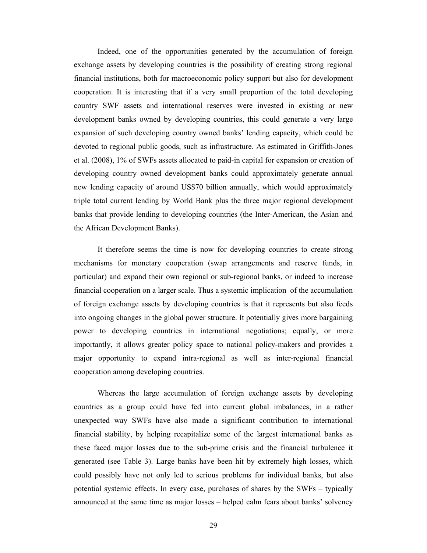Indeed, one of the opportunities generated by the accumulation of foreign exchange assets by developing countries is the possibility of creating strong regional financial institutions, both for macroeconomic policy support but also for development cooperation. It is interesting that if a very small proportion of the total developing country SWF assets and international reserves were invested in existing or new development banks owned by developing countries, this could generate a very large expansion of such developing country owned banks' lending capacity, which could be devoted to regional public goods, such as infrastructure. As estimated in Griffith-Jones et al. (2008), 1% of SWFs assets allocated to paid-in capital for expansion or creation of developing country owned development banks could approximately generate annual new lending capacity of around US\$70 billion annually, which would approximately triple total current lending by World Bank plus the three major regional development banks that provide lending to developing countries (the Inter-American, the Asian and the African Development Banks).

It therefore seems the time is now for developing countries to create strong mechanisms for monetary cooperation (swap arrangements and reserve funds, in particular) and expand their own regional or sub-regional banks, or indeed to increase financial cooperation on a larger scale. Thus a systemic implication of the accumulation of foreign exchange assets by developing countries is that it represents but also feeds into ongoing changes in the global power structure. It potentially gives more bargaining power to developing countries in international negotiations; equally, or more importantly, it allows greater policy space to national policy-makers and provides a major opportunity to expand intra-regional as well as inter-regional financial cooperation among developing countries.

Whereas the large accumulation of foreign exchange assets by developing countries as a group could have fed into current global imbalances, in a rather unexpected way SWFs have also made a significant contribution to international financial stability, by helping recapitalize some of the largest international banks as these faced major losses due to the sub-prime crisis and the financial turbulence it generated (see Table 3). Large banks have been hit by extremely high losses, which could possibly have not only led to serious problems for individual banks, but also potential systemic effects. In every case, purchases of shares by the SWFs – typically announced at the same time as major losses – helped calm fears about banks' solvency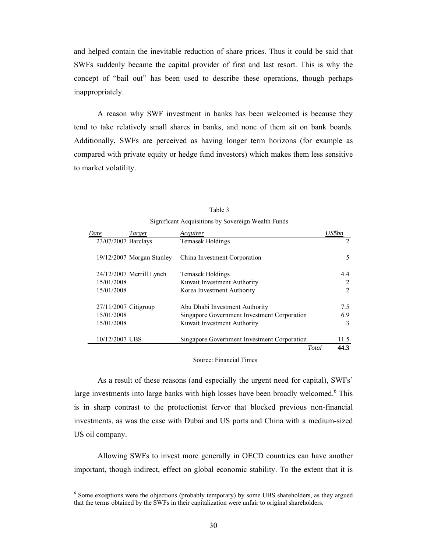and helped contain the inevitable reduction of share prices. Thus it could be said that SWFs suddenly became the capital provider of first and last resort. This is why the concept of "bail out" has been used to describe these operations, though perhaps inappropriately.

A reason why SWF investment in banks has been welcomed is because they tend to take relatively small shares in banks, and none of them sit on bank boards. Additionally, SWFs are perceived as having longer term horizons (for example as compared with private equity or hedge fund investors) which makes them less sensitive to market volatility.

| Date                | Target                      | Acquirer                                    | US\$bn |
|---------------------|-----------------------------|---------------------------------------------|--------|
| 23/07/2007 Barclays |                             | Temasek Holdings                            | 2      |
|                     | $19/12/2007$ Morgan Stanley | China Investment Corporation                | 5      |
|                     | $24/12/2007$ Merrill Lynch  | Temasek Holdings                            | 4.4    |
| 15/01/2008          |                             | Kuwait Investment Authority                 | 2      |
| 15/01/2008          |                             | Korea Investment Authority                  | 2      |
|                     | 27/11/2007 Citigroup        | Abu Dhabi Investment Authority              | 7.5    |
| 15/01/2008          |                             | Singapore Government Investment Corporation | 6.9    |
| 15/01/2008          |                             | Kuwait Investment Authority                 | 3      |
| 10/12/2007 UBS      |                             | Singapore Government Investment Corporation | 11.5   |
|                     |                             | Total                                       | 44.3   |

Table 3 Significant Acquisitions by Sovereign Wealth Funds

#### Source: Financial Times

As a result of these reasons (and especially the urgent need for capital), SWFs' large investments into large banks with high losses have been broadly welcomed.<sup>6</sup> This is in sharp contrast to the protectionist fervor that blocked previous non-financial investments, as was the case with Dubai and US ports and China with a medium-sized US oil company.

Allowing SWFs to invest more generally in OECD countries can have another important, though indirect, effect on global economic stability. To the extent that it is

 $\overline{a}$ 

<sup>&</sup>lt;sup>6</sup> Some exceptions were the objections (probably temporary) by some UBS shareholders, as they argued that the terms obtained by the SWFs in their capitalization were unfair to original shareholders.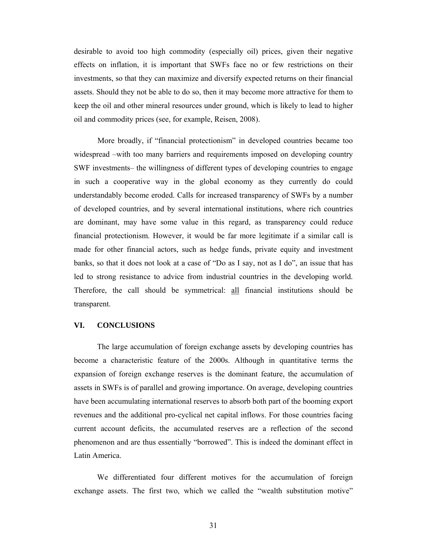desirable to avoid too high commodity (especially oil) prices, given their negative effects on inflation, it is important that SWFs face no or few restrictions on their investments, so that they can maximize and diversify expected returns on their financial assets. Should they not be able to do so, then it may become more attractive for them to keep the oil and other mineral resources under ground, which is likely to lead to higher oil and commodity prices (see, for example, Reisen, 2008).

More broadly, if "financial protectionism" in developed countries became too widespread –with too many barriers and requirements imposed on developing country SWF investments– the willingness of different types of developing countries to engage in such a cooperative way in the global economy as they currently do could understandably become eroded. Calls for increased transparency of SWFs by a number of developed countries, and by several international institutions, where rich countries are dominant, may have some value in this regard, as transparency could reduce financial protectionism. However, it would be far more legitimate if a similar call is made for other financial actors, such as hedge funds, private equity and investment banks, so that it does not look at a case of "Do as I say, not as I do", an issue that has led to strong resistance to advice from industrial countries in the developing world. Therefore, the call should be symmetrical: all financial institutions should be transparent.

#### **VI. CONCLUSIONS**

 The large accumulation of foreign exchange assets by developing countries has become a characteristic feature of the 2000s. Although in quantitative terms the expansion of foreign exchange reserves is the dominant feature, the accumulation of assets in SWFs is of parallel and growing importance. On average, developing countries have been accumulating international reserves to absorb both part of the booming export revenues and the additional pro-cyclical net capital inflows. For those countries facing current account deficits, the accumulated reserves are a reflection of the second phenomenon and are thus essentially "borrowed". This is indeed the dominant effect in Latin America.

 We differentiated four different motives for the accumulation of foreign exchange assets. The first two, which we called the "wealth substitution motive"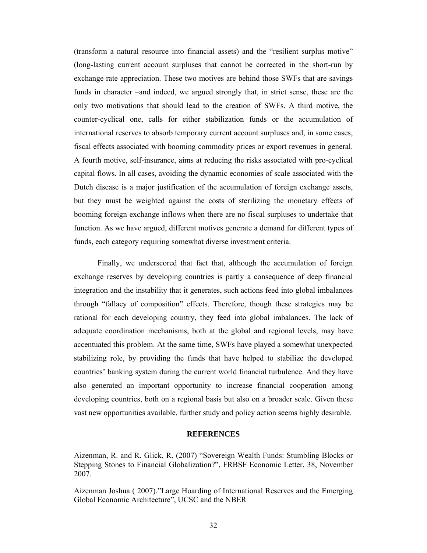(transform a natural resource into financial assets) and the "resilient surplus motive" (long-lasting current account surpluses that cannot be corrected in the short-run by exchange rate appreciation. These two motives are behind those SWFs that are savings funds in character –and indeed, we argued strongly that, in strict sense, these are the only two motivations that should lead to the creation of SWFs. A third motive, the counter-cyclical one, calls for either stabilization funds or the accumulation of international reserves to absorb temporary current account surpluses and, in some cases, fiscal effects associated with booming commodity prices or export revenues in general. A fourth motive, self-insurance, aims at reducing the risks associated with pro-cyclical capital flows. In all cases, avoiding the dynamic economies of scale associated with the Dutch disease is a major justification of the accumulation of foreign exchange assets, but they must be weighted against the costs of sterilizing the monetary effects of booming foreign exchange inflows when there are no fiscal surpluses to undertake that function. As we have argued, different motives generate a demand for different types of funds, each category requiring somewhat diverse investment criteria.

Finally, we underscored that fact that, although the accumulation of foreign exchange reserves by developing countries is partly a consequence of deep financial integration and the instability that it generates, such actions feed into global imbalances through "fallacy of composition" effects. Therefore, though these strategies may be rational for each developing country, they feed into global imbalances. The lack of adequate coordination mechanisms, both at the global and regional levels, may have accentuated this problem. At the same time, SWFs have played a somewhat unexpected stabilizing role, by providing the funds that have helped to stabilize the developed countries' banking system during the current world financial turbulence. And they have also generated an important opportunity to increase financial cooperation among developing countries, both on a regional basis but also on a broader scale. Given these vast new opportunities available, further study and policy action seems highly desirable.

#### **REFERENCES**

Aizenman, R. and R. Glick, R. (2007) "Sovereign Wealth Funds: Stumbling Blocks or Stepping Stones to Financial Globalization?", FRBSF Economic Letter, 38, November 2007.

Aizenman Joshua ( 2007)."Large Hoarding of International Reserves and the Emerging Global Economic Architecture", UCSC and the NBER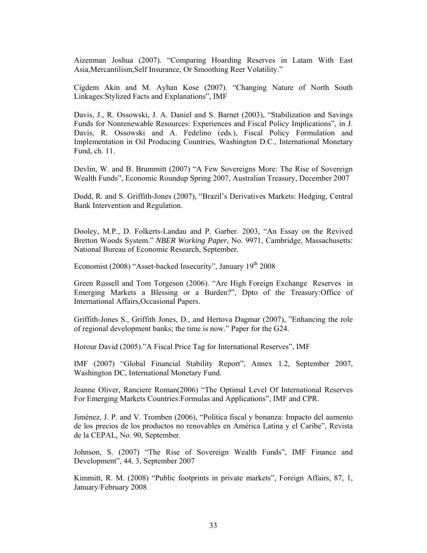Aizenman Joshua (2007). "Comparing Hoarding Reserves in Latam With East Asia,Mercantilism,Self Insurance, Or Smoothing Reer Volatility."

Cigdem Akin and M. Ayhan Kose (2007). "Changing Nature of North South Linkages:Stylized Facts and Explanations", IMF

Davis, J., R. Ossowski, J. A. Daniel and S. Barnet (2003), "Stabilization and Savings Funds for Nonrenewable Resources: Experiences and Fiscal Policy Implications", in J. Davis, R. Ossowski and A. Fedelino (eds.), Fiscal Policy Formulation and Implementation in Oil Producing Countries, Washington D.C., International Monetary Fund, ch. 11.

Devlin, W. and B. Brummitt (2007) "A Few Sovereigns More: The Rise of Sovereign Wealth Funds", Economic Roundup Spring 2007, Australian Treasury, December 2007

Dodd, R. and S. Griffith-Jones (2007), "Brazil's Derivatives Markets: Hedging, Central Bank Intervention and Regulation.

Dooley, M.P., D. Folkerts-Landau and P. Garber. 2003, "An Essay on the Revived Bretton Woods System." *NBER Working Paper*, No. 9971, Cambridge, Massachusetts: National Bureau of Economic Research, September.

Economist (2008) "Asset-backed Insecurity", January  $19<sup>th</sup> 2008$ 

Green Russell and Tom Torgeson (2006). "Are High Foreign Exchange Reserves in Emerging Markets a Blessing or a Burden?", Dpto of the Treasury:Office of International Affairs,Occasional Papers.

Griffith-Jones S., Griffith Jones, D., and Hertova Dagmar (2007), "Enhancing the role of regional development banks; the time is now." Paper for the G24.

Horour David (2005)."A Fiscal Price Tag for International Reserves", IMF

IMF (2007) "Global Financial Stability Report", Annex 1.2, September 2007, Washington DC, International Monetary Fund.

Jeanne Oliver, Ranciere Roman(2006) "The Optimal Level Of International Reserves For Emerging Markets Countries:Formulas and Applications", IMF and CPR.

Jiménez, J. P. and V. Tromben (2006), "Política fiscal y bonanza: Impacto del aumento de los precios de los productos no renovables en América Latina y el Caribe", Revista de la CEPAL, No. 90, September.

Johnson, S. (2007) "The Rise of Sovereign Wealth Funds", IMF Finance and Development", 44, 3, September 2007

Kimmitt, R. M. (2008) "Public footprints in private markets", Foreign Affairs, 87, 1, January/February 2008